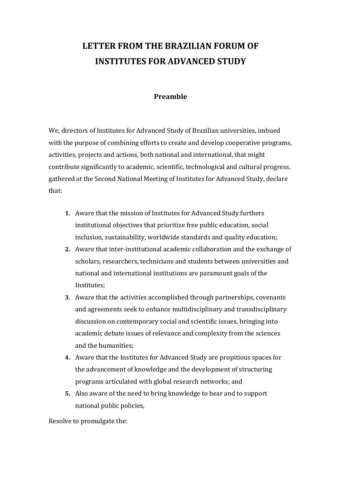## **LETTER FROM THE BRAZILIAN FORUM OF INSTITUTES FOR ADVANCED STUDY**

## **Preamble**

We, directors of Institutes for Advanced Study of Brazilian universities, imbued with the purpose of combining efforts to create and develop cooperative programs, activities, projects and actions, both national and international, that might contribute significantly to academic, scientific, technological and cultural progress, gathered at the Second National Meeting of Institutes for Advanced Study, declare that:

- **1.** Aware that the mission of Institutes for Advanced Study furthers institutional objectives that prioritize free public education, social inclusion, sustainability, worldwide standards and quality education;
- **2.** Aware that inter-institutional academic collaboration and the exchange of scholars, researchers, technicians and students between universities and national and international institutions are paramount goals of the Institutes;
- **3.** Aware that the activities accomplished through partnerships, covenants and agreements seek to enhance multidisciplinary and transdisciplinary discussion on contemporary social and scientific issues, bringing into academic debate issues of relevance and complexity from the sciences and the humanities;
- **4.** Aware that the Institutes for Advanced Study are propitious spaces for the advancement of knowledge and the development of structuring programs articulated with global research networks; and
- **5.** Also aware of the need to bring knowledge to bear and to support national public policies,

Resolve to promulgate the: